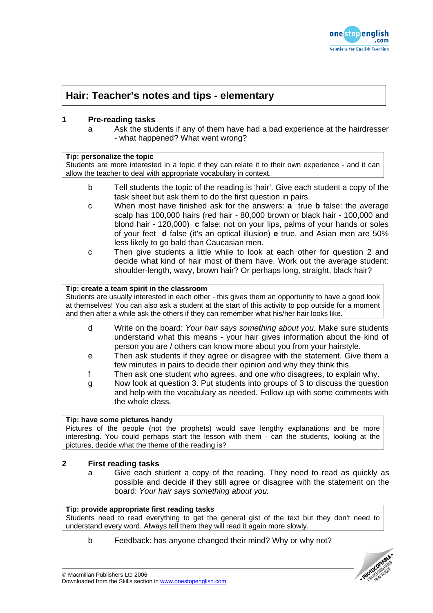

# **Hair: Teacher's notes and tips - elementary**

# **1 Pre-reading tasks**

a Ask the students if any of them have had a bad experience at the hairdresser - what happened? What went wrong?

## **Tip: personalize the topic**

Students are more interested in a topic if they can relate it to their own experience - and it can allow the teacher to deal with appropriate vocabulary in context.

- b Tell students the topic of the reading is 'hair'. Give each student a copy of the task sheet but ask them to do the first question in pairs.
- c When most have finished ask for the answers: **a** true **b** false: the average scalp has 100,000 hairs (red hair - 80,000 brown or black hair - 100,000 and blond hair - 120,000) **c** false: not on your lips, palms of your hands or soles of your feet **d** false (it's an optical illusion) **e** true, and Asian men are 50% less likely to go bald than Caucasian men.
- c Then give students a little while to look at each other for question 2 and decide what kind of hair most of them have. Work out the average student: shoulder-length, wavy, brown hair? Or perhaps long, straight, black hair?

#### **Tip: create a team spirit in the classroom**

Students are usually interested in each other - this gives them an opportunity to have a good look at themselves! You can also ask a student at the start of this activity to pop outside for a moment and then after a while ask the others if they can remember what his/her hair looks like.

- d Write on the board: *Your hair says something about you.* Make sure students understand what this means - your hair gives information about the kind of person you are / others can know more about you from your hairstyle.
- e Then ask students if they agree or disagree with the statement. Give them a few minutes in pairs to decide their opinion and why they think this.
- f Then ask one student who agrees, and one who disagrees, to explain why.
- g Now look at question 3. Put students into groups of 3 to discuss the question and help with the vocabulary as needed. Follow up with some comments with the whole class.

## **Tip: have some pictures handy**

Pictures of the people (not the prophets) would save lengthy explanations and be more interesting. You could perhaps start the lesson with them - can the students, looking at the pictures, decide what the theme of the reading is?

## **2 First reading tasks**

a Give each student a copy of the reading. They need to read as quickly as possible and decide if they still agree or disagree with the statement on the board: *Your hair says something about you.*

#### **Tip: provide appropriate first reading tasks**

Students need to read everything to get the general gist of the text but they don't need to understand every word. Always tell them they will read it again more slowly.

b Feedback: has anyone changed their mind? Why or why not?